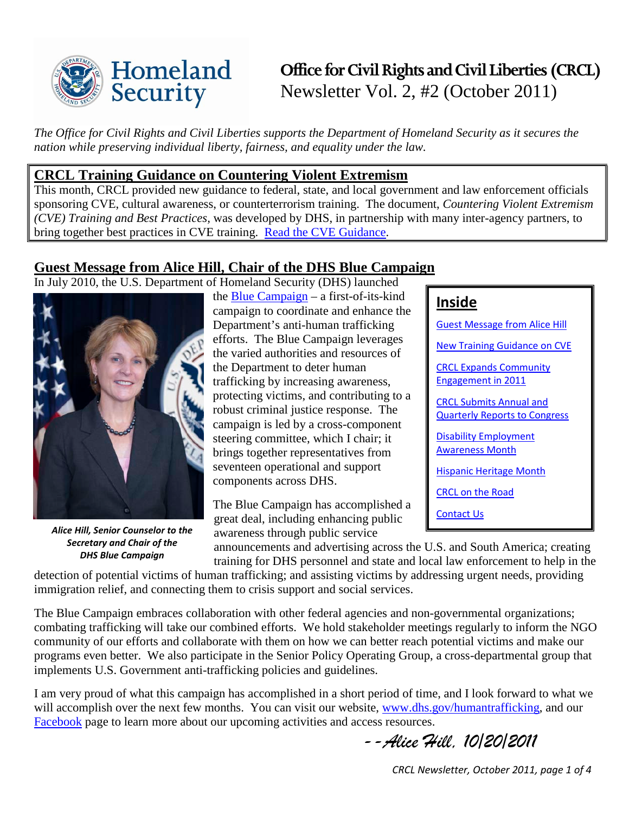

# **Office for Civil Rights and Civil Liberties (CRCL)** Newsletter Vol. 2, #2 (October 2011)

**Inside** 

[Guest Message from Alice Hill](#page-0-0)

[New Training Guidance on CVE](#page-0-1)

[CRCL Expands Community](#page-1-0)  [Engagement in 2011](#page-1-0)

[CRCL Submits Annual and](#page-2-0)  [Quarterly Reports to Congress](#page-2-0)

[Disability Employment](#page-2-1)  [Awareness Month](#page-2-1)

[Hispanic Heritage Month](#page-3-0)

[CRCL on the Road](#page-3-1)

[Contact Us](#page-3-2)

*The Office for Civil Rights and Civil Liberties supports the Department of Homeland Security as it secures the nation while preserving individual liberty, fairness, and equality under the law.*

### <span id="page-0-1"></span>**CRCL Training Guidance on Countering Violent Extremism**

This month, CRCL provided new guidance to federal, state, and local government and law enforcement officials sponsoring CVE, cultural awareness, or counterterrorism training. The document, *Countering Violent Extremism (CVE) Training and Best Practices,* was developed by DHS, in partnership with many inter-agency partners, to bring together best practices in CVE training. [Read the CVE Guidance.](http://www.dhs.gov/xlibrary/assets/cve-training-guidance.pdf)

# <span id="page-0-0"></span>**Guest Message from Alice Hill, Chair of the DHS Blue Campaign**

In July 2010, the U.S. Department of Homeland Security (DHS) launched



*Alice Hill, Senior Counselor to the Secretary and Chair of the DHS Blue Campaign*

the [Blue Campaign](http://www.dhs.gov/files/programs/gc_1270739792024.shtm) – a first-of-its-kind campaign to coordinate and enhance the Department's anti-human trafficking efforts. The Blue Campaign leverages the varied authorities and resources of the Department to deter human trafficking by increasing awareness, protecting victims, and contributing to a robust criminal justice response. The campaign is led by a cross-component steering committee, which I chair; it brings together representatives from seventeen operational and support components across DHS.

The Blue Campaign has accomplished a great deal, including enhancing public awareness through public service

announcements and advertising across the U.S. and South America; creating

training for DHS personnel and state and local law enforcement to help in the

detection of potential victims of human trafficking; and assisting victims by addressing urgent needs, providing immigration relief, and connecting them to crisis support and social services.

The Blue Campaign embraces collaboration with other federal agencies and non-governmental organizations; combating trafficking will take our combined efforts. We hold stakeholder meetings regularly to inform the NGO community of our efforts and collaborate with them on how we can better reach potential victims and make our programs even better. We also participate in the Senior Policy Operating Group, a cross-departmental group that implements U.S. Government anti-trafficking policies and guidelines.

I am very proud of what this campaign has accomplished in a short period of time, and I look forward to what we will accomplish over the next few months. You can visit our website, [www.dhs.gov/humantrafficking,](http://www.dhs.gov/humantrafficking) and our [Facebook](http://www.facebook.com/bluecampaign) page to learn more about our upcoming activities and access resources.

*--Alice Hill, 10/20/2011*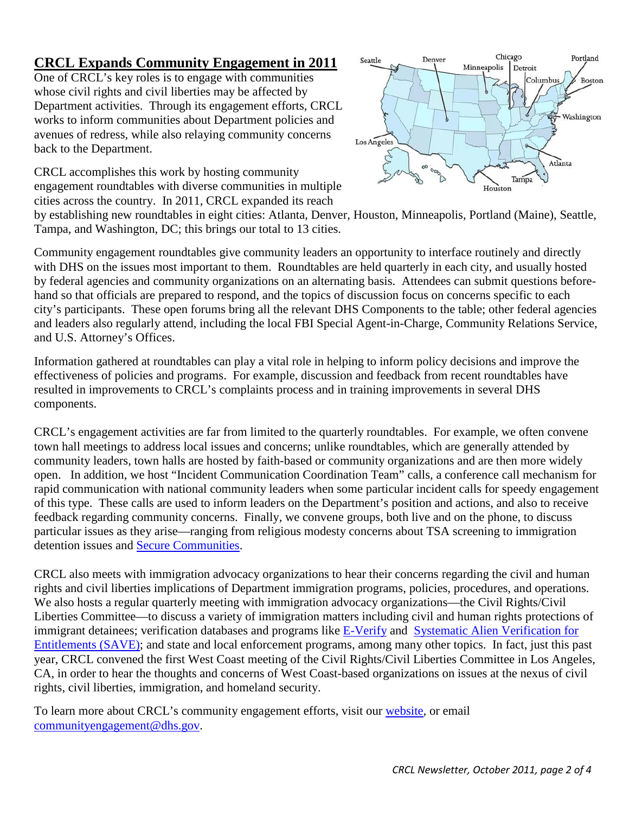### <span id="page-1-0"></span>**CRCL Expands Community Engagement in 2011**

One of CRCL's key roles is to engage with communities whose civil rights and civil liberties may be affected by Department activities. Through its engagement efforts, CRCL works to inform communities about Department policies and avenues of redress, while also relaying community concerns back to the Department.

CRCL accomplishes this work by hosting community engagement roundtables with diverse communities in multiple cities across the country. In 2011, CRCL expanded its reach



by establishing new roundtables in eight cities: Atlanta, Denver, Houston, Minneapolis, Portland (Maine), Seattle, Tampa, and Washington, DC; this brings our total to 13 cities.

Community engagement roundtables give community leaders an opportunity to interface routinely and directly with DHS on the issues most important to them. Roundtables are held quarterly in each city, and usually hosted by federal agencies and community organizations on an alternating basis. Attendees can submit questions beforehand so that officials are prepared to respond, and the topics of discussion focus on concerns specific to each city's participants. These open forums bring all the relevant DHS Components to the table; other federal agencies and leaders also regularly attend, including the local FBI Special Agent-in-Charge, Community Relations Service, and U.S. Attorney's Offices.

Information gathered at roundtables can play a vital role in helping to inform policy decisions and improve the effectiveness of policies and programs. For example, discussion and feedback from recent roundtables have resulted in improvements to CRCL's complaints process and in training improvements in several DHS components.

CRCL's engagement activities are far from limited to the quarterly roundtables. For example, we often convene town hall meetings to address local issues and concerns; unlike roundtables, which are generally attended by community leaders, town halls are hosted by faith-based or community organizations and are then more widely open. In addition, we host "Incident Communication Coordination Team" calls, a conference call mechanism for rapid communication with national community leaders when some particular incident calls for speedy engagement of this type. These calls are used to inform leaders on the Department's position and actions, and also to receive feedback regarding community concerns. Finally, we convene groups, both live and on the phone, to discuss particular issues as they arise—ranging from religious modesty concerns about TSA screening to immigration detention issues and [Secure Communities.](http://www.ice.gov/secure_communities/)

CRCL also meets with immigration advocacy organizations to hear their concerns regarding the civil and human rights and civil liberties implications of Department immigration programs, policies, procedures, and operations. We also hosts a regular quarterly meeting with immigration advocacy organizations—the Civil Rights/Civil Liberties Committee—to discuss a variety of immigration matters including civil and human rights protections of immigrant detainees; verification databases and programs like [E-Verify](http://www.uscis.gov/portal/site/uscis/menuitem.eb1d4c2a3e5b9ac89243c6a7543f6d1a/?vgnextoid=75bce2e261405110VgnVCM1000004718190aRCRD&vgnextchannel=75bce2e261405110VgnVCM1000004718190aRCRD) and [Systematic Alien Verification for](http://www.uscis.gov/portal/site/uscis/menuitem.eb1d4c2a3e5b9ac89243c6a7543f6d1a/?vgnextchannel=1721c2ec0c7c8110VgnVCM1000004718190aRCRD&vgnextoid=1721c2ec0c7c8110VgnVCM1000004718190aRCRD)  [Entitlements \(SAVE\);](http://www.uscis.gov/portal/site/uscis/menuitem.eb1d4c2a3e5b9ac89243c6a7543f6d1a/?vgnextchannel=1721c2ec0c7c8110VgnVCM1000004718190aRCRD&vgnextoid=1721c2ec0c7c8110VgnVCM1000004718190aRCRD) and state and local enforcement programs, among many other topics. In fact, just this past year, CRCL convened the first West Coast meeting of the Civil Rights/Civil Liberties Committee in Los Angeles, CA, in order to hear the thoughts and concerns of West Coast-based organizations on issues at the nexus of civil rights, civil liberties, immigration, and homeland security.

To learn more about CRCL's community engagement efforts, visit our [website,](http://www.dhs.gov/xabout/structure/gc_1273873058706.shtm) or email [communityengagement@dhs.gov.](mailto:communityengagement@dhs.gov)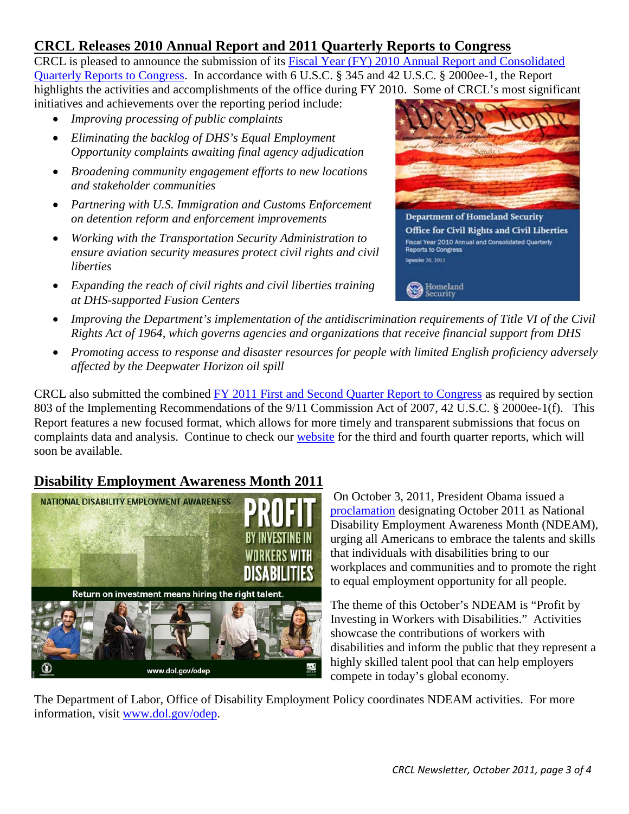## <span id="page-2-0"></span>**CRCL Releases 2010 Annual Report and 2011 Quarterly Reports to Congress**

CRCL is pleased to announce the submission of its [Fiscal Year \(FY\) 2010 Annual Report and Consolidated](http://www.dhs.gov/xlibrary/assets/crcl-annual-report-fy-2010.pdf)  [Quarterly Reports to Congress.](http://www.dhs.gov/xlibrary/assets/crcl-annual-report-fy-2010.pdf) In accordance with 6 U.S.C. § 345 and 42 U.S.C. § 2000ee-1, the Report highlights the activities and accomplishments of the office during FY 2010. Some of CRCL's most significant

initiatives and achievements over the reporting period include:

- *Improving processing of public complaints*
- *Eliminating the backlog of DHS's Equal Employment Opportunity complaints awaiting final agency adjudication*
- *Broadening community engagement efforts to new locations and stakeholder communities*
- *Partnering with U.S. Immigration and Customs Enforcement on detention reform and enforcement improvements*
- *Working with the Transportation Security Administration to ensure aviation security measures protect civil rights and civil liberties*
- *Expanding the reach of civil rights and civil liberties training at DHS-supported Fusion Centers*



**Department of Homeland Security** Office for Civil Rights and Civil Liberties Fiscal Year 2010 Annual and Consolidated Quarterly **Reports to Congress** September 20, 2011

Homeland ecurity

- *Improving the Department's implementation of the antidiscrimination requirements of Title VI of the Civil Rights Act of 1964, which governs agencies and organizations that receive financial support from DHS*
- *Promoting access to response and disaster resources for people with limited English proficiency adversely affected by the Deepwater Horizon oil spill*

CRCL also submitted the combined [FY 2011 First and Second Quarter Report to Congress](http://www.dhs.gov/xlibrary/assets/crcl-quarterly-report-fy-2011-q1-q2.pdf) as required by section 803 of the Implementing Recommendations of the 9/11 Commission Act of 2007, 42 U.S.C. § 2000ee-1(f). This Report features a new focused format, which allows for more timely and transparent submissions that focus on complaints data and analysis. Continue to check our [website](http://www.dhs.gov/xabout/structure/crcl.shtm) for the third and fourth quarter reports, which will soon be available.

# <span id="page-2-1"></span>**Disability Employment Awareness Month 2011**



On October 3, 2011, President Obama issued a [proclamation](http://www.whitehouse.gov/the-press-office/2011/10/03/presidential-proclamation-national-disability-employment-awareness-month) designating October 2011 as National Disability Employment Awareness Month (NDEAM), urging all Americans to embrace the talents and skills that individuals with disabilities bring to our workplaces and communities and to promote the right to equal employment opportunity for all people.

The theme of this October's NDEAM is "Profit by Investing in Workers with Disabilities." Activities showcase the contributions of workers with disabilities and inform the public that they represent a highly skilled talent pool that can help employers compete in today's global economy.

The Department of Labor, Office of Disability Employment Policy coordinates NDEAM activities. For more information, visit [www.dol.gov/odep.](http://www.dol.gov/odep)